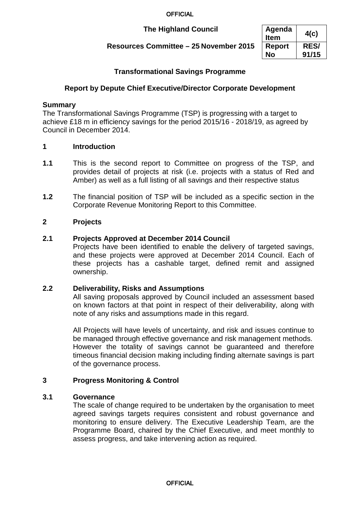# **The Highland Council**

# **Resources Committee – 25 November 2015**

| Agenda<br><b>Item</b> | 4(c)        |
|-----------------------|-------------|
| <b>Report</b>         | <b>RES/</b> |
| Nο                    | 91/15       |

# **Transformational Savings Programme**

# **Report by Depute Chief Executive/Director Corporate Development**

## **Summary**

The Transformational Savings Programme (TSP) is progressing with a target to achieve £18 m in efficiency savings for the period 2015/16 - 2018/19, as agreed by Council in December 2014.

#### **1 Introduction**

- **1.1** This is the second report to Committee on progress of the TSP, and provides detail of projects at risk (i.e. projects with a status of Red and Amber) as well as a full listing of all savings and their respective status
- **1.2** The financial position of TSP will be included as a specific section in the Corporate Revenue Monitoring Report to this Committee.

## **2 Projects**

#### **2.1 Projects Approved at December 2014 Council**

Projects have been identified to enable the delivery of targeted savings, and these projects were approved at December 2014 Council. Each of these projects has a cashable target, defined remit and assigned ownership.

# **2.2 Deliverability, Risks and Assumptions**

All saving proposals approved by Council included an assessment based on known factors at that point in respect of their deliverability, along with note of any risks and assumptions made in this regard.

All Projects will have levels of uncertainty, and risk and issues continue to be managed through effective governance and risk management methods. However the totality of savings cannot be guaranteed and therefore timeous financial decision making including finding alternate savings is part of the governance process.

## **3 Progress Monitoring & Control**

#### **3.1 Governance**

The scale of change required to be undertaken by the organisation to meet agreed savings targets requires consistent and robust governance and monitoring to ensure delivery. The Executive Leadership Team, are the Programme Board, chaired by the Chief Executive, and meet monthly to assess progress, and take intervening action as required.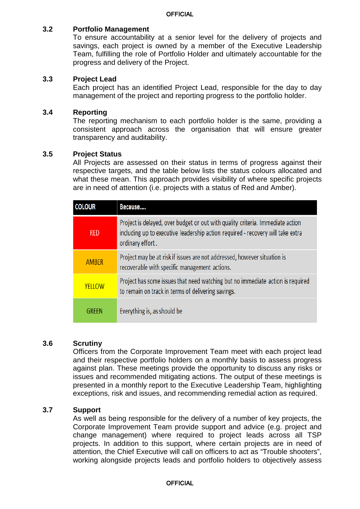## **3.2 Portfolio Management**

To ensure accountability at a senior level for the delivery of projects and savings, each project is owned by a member of the Executive Leadership Team, fulfilling the role of Portfolio Holder and ultimately accountable for the progress and delivery of the Project.

#### **3.3 Project Lead**

Each project has an identified Project Lead, responsible for the day to day management of the project and reporting progress to the portfolio holder.

#### **3.4 Reporting**

The reporting mechanism to each portfolio holder is the same, providing a consistent approach across the organisation that will ensure greater transparency and auditability.

#### **3.5 Project Status**

All Projects are assessed on their status in terms of progress against their respective targets, and the table below lists the status colours allocated and what these mean. This approach provides visibility of where specific projects are in need of attention (i.e. projects with a status of Red and Amber).

| <b>COLOUR</b> | Because                                                                                                                                                                               |
|---------------|---------------------------------------------------------------------------------------------------------------------------------------------------------------------------------------|
| <b>RED</b>    | Project is delayed, over budget or out with quality criteria. Immediate action<br>including up to executive leadership action required - recovery will take extra<br>ordinary effort. |
| AMBER         | Project may be at risk if issues are not addressed, however situation is<br>recoverable with specific management actions.                                                             |
| YELLOW        | Project has some issues that need watching but no immediate action is required<br>to remain on track in terms of delivering savings.                                                  |
| GRFFN         | Everything is, as should be                                                                                                                                                           |

#### **3.6 Scrutiny**

Officers from the Corporate Improvement Team meet with each project lead and their respective portfolio holders on a monthly basis to assess progress against plan. These meetings provide the opportunity to discuss any risks or issues and recommended mitigating actions. The output of these meetings is presented in a monthly report to the Executive Leadership Team, highlighting exceptions, risk and issues, and recommending remedial action as required.

#### **3.7 Support**

As well as being responsible for the delivery of a number of key projects, the Corporate Improvement Team provide support and advice (e.g. project and change management) where required to project leads across all TSP projects. In addition to this support, where certain projects are in need of attention, the Chief Executive will call on officers to act as "Trouble shooters", working alongside projects leads and portfolio holders to objectively assess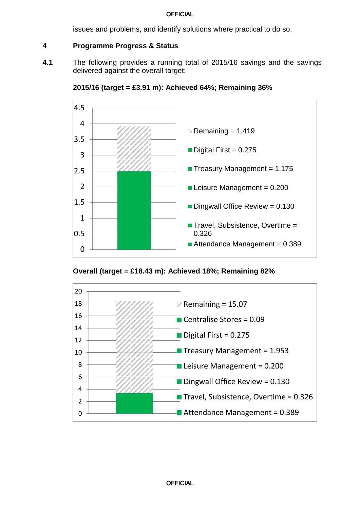issues and problems, and identify solutions where practical to do so.

# **4 Programme Progress & Status**

**4.1** The following provides a running total of 2015/16 savings and the savings delivered against the overall target:



**2015/16 (target = £3.91 m): Achieved 64%; Remaining 36%**



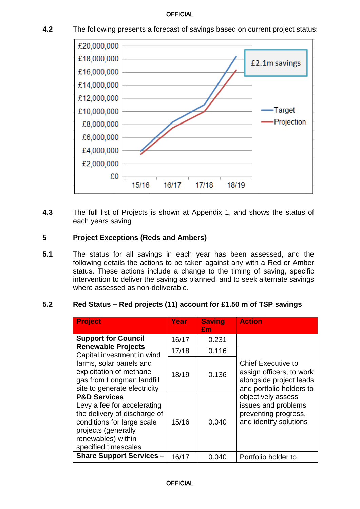- £20,000,000 £18,000,000 £2.1m savings £16,000,000 £14,000,000 £12.000.000 Target £10,000,000 Projection £8,000,000 £6,000,000 £4,000,000 £2,000,000 £0 15/16 16/17 17/18 18/19
- **4.2** The following presents a forecast of savings based on current project status:

**4.3** The full list of Projects is shown at Appendix 1, and shows the status of each years saving

## **5 Project Exceptions (Reds and Ambers)**

**5.1** The status for all savings in each year has been assessed, and the following details the actions to be taken against any with a Red or Amber status. These actions include a change to the timing of saving, specific intervention to deliver the saving as planned, and to seek alternate savings where assessed as non-deliverable.

#### **5.2 Red Status – Red projects (11) account for £1.50 m of TSP savings**

| <b>Project</b>                                                                                                                                                                            | Year  | <b>Saving</b><br>£m | <b>Action</b>                                                                                                |
|-------------------------------------------------------------------------------------------------------------------------------------------------------------------------------------------|-------|---------------------|--------------------------------------------------------------------------------------------------------------|
| <b>Support for Council</b>                                                                                                                                                                | 16/17 | 0.231               |                                                                                                              |
| <b>Renewable Projects</b><br>Capital investment in wind                                                                                                                                   | 17/18 | 0.116               |                                                                                                              |
| farms, solar panels and<br>exploitation of methane<br>gas from Longman landfill<br>site to generate electricity                                                                           | 18/19 | 0.136               | <b>Chief Executive to</b><br>assign officers, to work<br>alongside project leads<br>and portfolio holders to |
| <b>P&amp;D Services</b><br>Levy a fee for accelerating<br>the delivery of discharge of<br>conditions for large scale<br>projects (generally<br>renewables) within<br>specified timescales | 15/16 | 0.040               | objectively assess<br>issues and problems<br>preventing progress,<br>and identify solutions                  |
| <b>Share Support Services -</b>                                                                                                                                                           | 16/17 | 0.040               | Portfolio holder to                                                                                          |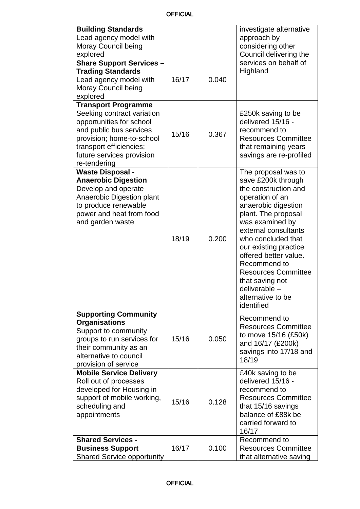| <b>Building Standards</b><br>Lead agency model with<br>Moray Council being<br>explored<br><b>Share Support Services -</b><br><b>Trading Standards</b><br>Lead agency model with<br>Moray Council being<br>explored   | 16/17 | 0.040 | investigate alternative<br>approach by<br>considering other<br>Council delivering the<br>services on behalf of<br>Highland                                                                                                                                                                                                                                                 |
|----------------------------------------------------------------------------------------------------------------------------------------------------------------------------------------------------------------------|-------|-------|----------------------------------------------------------------------------------------------------------------------------------------------------------------------------------------------------------------------------------------------------------------------------------------------------------------------------------------------------------------------------|
| <b>Transport Programme</b><br>Seeking contract variation<br>opportunities for school<br>and public bus services<br>provision; home-to-school<br>transport efficiencies;<br>future services provision<br>re-tendering | 15/16 | 0.367 | £250k saving to be<br>delivered 15/16 -<br>recommend to<br><b>Resources Committee</b><br>that remaining years<br>savings are re-profiled                                                                                                                                                                                                                                   |
| <b>Waste Disposal -</b><br><b>Anaerobic Digestion</b><br>Develop and operate<br>Anaerobic Digestion plant<br>to produce renewable<br>power and heat from food<br>and garden waste                                    | 18/19 | 0.200 | The proposal was to<br>save £200k through<br>the construction and<br>operation of an<br>anaerobic digestion<br>plant. The proposal<br>was examined by<br>external consultants<br>who concluded that<br>our existing practice<br>offered better value.<br>Recommend to<br><b>Resources Committee</b><br>that saving not<br>deliverable -<br>alternative to be<br>identified |
| <b>Supporting Community</b><br><b>Organisations</b><br>Support to community<br>groups to run services for<br>their community as an<br>alternative to council<br>provision of service                                 | 15/16 | 0.050 | Recommend to<br><b>Resources Committee</b><br>to move 15/16 (£50k)<br>and 16/17 (£200k)<br>savings into 17/18 and<br>18/19                                                                                                                                                                                                                                                 |
| <b>Mobile Service Delivery</b><br>Roll out of processes<br>developed for Housing in<br>support of mobile working,<br>scheduling and<br>appointments                                                                  | 15/16 | 0.128 | £40k saving to be<br>delivered 15/16 -<br>recommend to<br><b>Resources Committee</b><br>that 15/16 savings<br>balance of £88k be<br>carried forward to<br>16/17                                                                                                                                                                                                            |
| <b>Shared Services -</b><br><b>Business Support</b><br><b>Shared Service opportunity</b>                                                                                                                             | 16/17 | 0.100 | Recommend to<br><b>Resources Committee</b><br>that alternative saving                                                                                                                                                                                                                                                                                                      |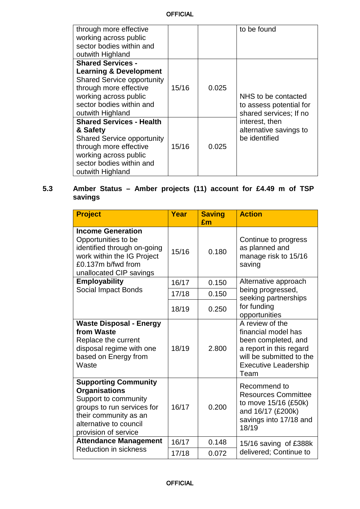| through more effective<br>working across public<br>sector bodies within and<br>outwith Highland                                                                                                       |       |       | to be found                                                              |
|-------------------------------------------------------------------------------------------------------------------------------------------------------------------------------------------------------|-------|-------|--------------------------------------------------------------------------|
| <b>Shared Services -</b><br><b>Learning &amp; Development</b><br><b>Shared Service opportunity</b><br>through more effective<br>working across public<br>sector bodies within and<br>outwith Highland | 15/16 | 0.025 | NHS to be contacted<br>to assess potential for<br>shared services; If no |
| <b>Shared Services - Health</b><br>& Safety<br><b>Shared Service opportunity</b><br>through more effective<br>working across public<br>sector bodies within and<br>outwith Highland                   | 15/16 | 0.025 | interest, then<br>alternative savings to<br>be identified                |

# **5.3 Amber Status – Amber projects (11) account for £4.49 m of TSP savings**

| <b>Project</b>                                                                                                                                                                       | Year  | <b>Saving</b> | <b>Action</b>                                                                                                                                               |
|--------------------------------------------------------------------------------------------------------------------------------------------------------------------------------------|-------|---------------|-------------------------------------------------------------------------------------------------------------------------------------------------------------|
|                                                                                                                                                                                      |       | £m            |                                                                                                                                                             |
| <b>Income Generation</b><br>Opportunities to be<br>identified through on-going<br>work within the IG Project<br>£0.137m b/fwd from<br>unallocated CIP savings                        | 15/16 | 0.180         | Continue to progress<br>as planned and<br>manage risk to 15/16<br>saving                                                                                    |
| <b>Employability</b>                                                                                                                                                                 | 16/17 | 0.150         | Alternative approach                                                                                                                                        |
| Social Impact Bonds                                                                                                                                                                  | 17/18 | 0.150         | being progressed,<br>seeking partnerships                                                                                                                   |
|                                                                                                                                                                                      | 18/19 | 0.250         | for funding<br>opportunities                                                                                                                                |
| <b>Waste Disposal - Energy</b><br>from Waste<br>Replace the current<br>disposal regime with one<br>based on Energy from<br>Waste                                                     | 18/19 | 2.800         | A review of the<br>financial model has<br>been completed, and<br>a report in this regard<br>will be submitted to the<br><b>Executive Leadership</b><br>Team |
| <b>Supporting Community</b><br><b>Organisations</b><br>Support to community<br>groups to run services for<br>their community as an<br>alternative to council<br>provision of service | 16/17 | 0.200         | Recommend to<br><b>Resources Committee</b><br>to move 15/16 (£50k)<br>and 16/17 (£200k)<br>savings into 17/18 and<br>18/19                                  |
| <b>Attendance Management</b>                                                                                                                                                         | 16/17 | 0.148         | 15/16 saving of £388k                                                                                                                                       |
| <b>Reduction in sickness</b>                                                                                                                                                         | 17/18 | 0.072         | delivered; Continue to                                                                                                                                      |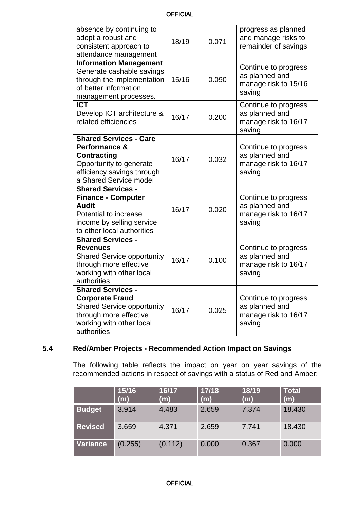| OFFICIAL |  |
|----------|--|
|----------|--|

| absence by continuing to<br>adopt a robust and<br>consistent approach to<br>attendance management                                                            | 18/19 | 0.071 | progress as planned<br>and manage risks to<br>remainder of savings       |
|--------------------------------------------------------------------------------------------------------------------------------------------------------------|-------|-------|--------------------------------------------------------------------------|
| <b>Information Management</b><br>Generate cashable savings<br>through the implementation<br>of better information<br>management processes.                   | 15/16 | 0.090 | Continue to progress<br>as planned and<br>manage risk to 15/16<br>saving |
| <b>ICT</b><br>Develop ICT architecture &<br>related efficiencies                                                                                             | 16/17 | 0.200 | Continue to progress<br>as planned and<br>manage risk to 16/17<br>saving |
| <b>Shared Services - Care</b><br>Performance &<br><b>Contracting</b><br>Opportunity to generate<br>efficiency savings through<br>a Shared Service model      | 16/17 | 0.032 | Continue to progress<br>as planned and<br>manage risk to 16/17<br>saving |
| <b>Shared Services -</b><br><b>Finance - Computer</b><br><b>Audit</b><br>Potential to increase<br>income by selling service<br>to other local authorities    | 16/17 | 0.020 | Continue to progress<br>as planned and<br>manage risk to 16/17<br>saving |
| <b>Shared Services -</b><br><b>Revenues</b><br><b>Shared Service opportunity</b><br>through more effective<br>working with other local<br>authorities        | 16/17 | 0.100 | Continue to progress<br>as planned and<br>manage risk to 16/17<br>saving |
| <b>Shared Services -</b><br><b>Corporate Fraud</b><br><b>Shared Service opportunity</b><br>through more effective<br>working with other local<br>authorities | 16/17 | 0.025 | Continue to progress<br>as planned and<br>manage risk to 16/17<br>saving |

# **5.4 Red/Amber Projects - Recommended Action Impact on Savings**

The following table reflects the impact on year on year savings of the recommended actions in respect of savings with a status of Red and Amber:

|                | 15/16<br>(m) | 16/17<br>(m) | 17/18<br>(m) | 18/19<br>(m) | <b>Total</b><br>(m) |
|----------------|--------------|--------------|--------------|--------------|---------------------|
| <b>Budget</b>  | 3.914        | 4.483        | 2.659        | 7.374        | 18.430              |
| <b>Revised</b> | 3.659        | 4.371        | 2.659        | 7.741        | 18.430              |
| Variance       | (0.255)      | (0.112)      | 0.000        | 0.367        | 0.000               |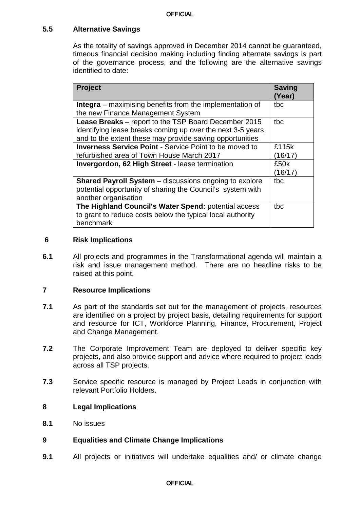# **5.5 Alternative Savings**

As the totality of savings approved in December 2014 cannot be guaranteed, timeous financial decision making including finding alternate savings is part of the governance process, and the following are the alternative savings identified to date:

| <b>Project</b>                                                                                                                                                                  | <b>Saving</b><br>(Year) |
|---------------------------------------------------------------------------------------------------------------------------------------------------------------------------------|-------------------------|
| <b>Integra</b> – maximising benefits from the implementation of<br>the new Finance Management System                                                                            | tbc                     |
| Lease Breaks - report to the TSP Board December 2015<br>identifying lease breaks coming up over the next 3-5 years,<br>and to the extent these may provide saving opportunities | tbc                     |
| <b>Inverness Service Point - Service Point to be moved to</b><br>refurbished area of Town House March 2017                                                                      | £115k<br>(16/17)        |
| <b>Invergordon, 62 High Street - lease termination</b>                                                                                                                          | £50k<br>(16/17)         |
| <b>Shared Payroll System</b> – discussions ongoing to explore<br>potential opportunity of sharing the Council's system with<br>another organisation                             | tbc                     |
| The Highland Council's Water Spend: potential access<br>to grant to reduce costs below the typical local authority<br>benchmark                                                 | tbc                     |

## **6 Risk Implications**

**6.1** All projects and programmes in the Transformational agenda will maintain a risk and issue management method. There are no headline risks to be raised at this point.

## **7 Resource Implications**

- **7.1** As part of the standards set out for the management of projects, resources are identified on a project by project basis, detailing requirements for support and resource for ICT, Workforce Planning, Finance, Procurement, Project and Change Management.
- **7.2** The Corporate Improvement Team are deployed to deliver specific key projects, and also provide support and advice where required to project leads across all TSP projects.
- **7.3** Service specific resource is managed by Project Leads in conjunction with relevant Portfolio Holders.

## **8 Legal Implications**

**8.1** No issues

# **9 Equalities and Climate Change Implications**

**9.1** All projects or initiatives will undertake equalities and/ or climate change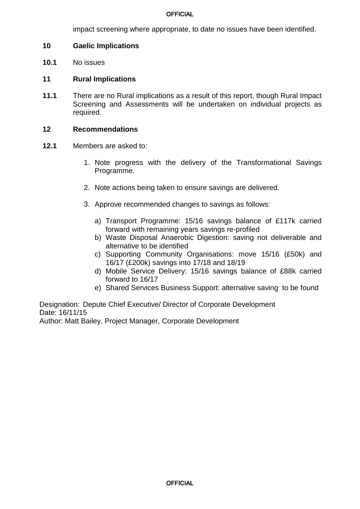impact screening where appropriate, to date no issues have been identified.

### **10 Gaelic Implications**

**10.1** No issues

#### **11 Rural Implications**

**11.1** There are no Rural implications as a result of this report, though Rural Impact Screening and Assessments will be undertaken on individual projects as required.

#### **12 Recommendations**

- **12.1** Members are asked to:
	- 1. Note progress with the delivery of the Transformational Savings Programme.
	- 2. Note actions being taken to ensure savings are delivered.
	- 3. Approve recommended changes to savings as follows:
		- a) Transport Programme: 15/16 savings balance of £117k carried forward with remaining years savings re-profiled
		- b) Waste Disposal Anaerobic Digestion: saving not deliverable and alternative to be identified
		- c) Supporting Community Organisations: move 15/16 (£50k) and 16/17 (£200k) savings into 17/18 and 18/19
		- d) Mobile Service Delivery: 15/16 savings balance of £88k carried forward to 16/17
		- e) Shared Services Business Support: alternative saving to be found

Designation: Depute Chief Executive/ Director of Corporate Development Date: 16/11/15

Author: Matt Bailey, Project Manager, Corporate Development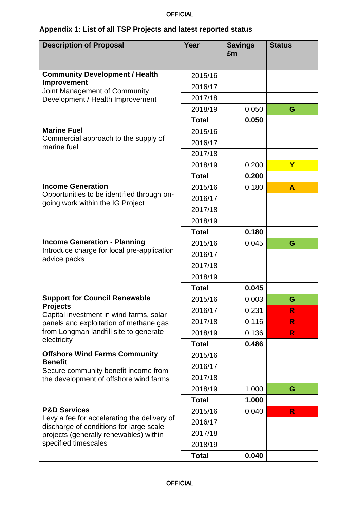# **Appendix 1: List of all TSP Projects and latest reported status**

| <b>Description of Proposal</b>                                                         | Year         | <b>Savings</b><br>£m | <b>Status</b>           |
|----------------------------------------------------------------------------------------|--------------|----------------------|-------------------------|
| <b>Community Development / Health</b>                                                  | 2015/16      |                      |                         |
| Improvement                                                                            | 2016/17      |                      |                         |
| Joint Management of Community<br>Development / Health Improvement                      | 2017/18      |                      |                         |
|                                                                                        | 2018/19      | 0.050                | G                       |
|                                                                                        | <b>Total</b> | 0.050                |                         |
| <b>Marine Fuel</b>                                                                     | 2015/16      |                      |                         |
| Commercial approach to the supply of<br>marine fuel                                    | 2016/17      |                      |                         |
|                                                                                        | 2017/18      |                      |                         |
|                                                                                        | 2018/19      | 0.200                | $\overline{\mathbf{Y}}$ |
|                                                                                        | <b>Total</b> | 0.200                |                         |
| <b>Income Generation</b>                                                               | 2015/16      | 0.180                | A                       |
| Opportunities to be identified through on-<br>going work within the IG Project         | 2016/17      |                      |                         |
|                                                                                        | 2017/18      |                      |                         |
|                                                                                        | 2018/19      |                      |                         |
|                                                                                        | <b>Total</b> | 0.180                |                         |
| <b>Income Generation - Planning</b>                                                    | 2015/16      | 0.045                | G                       |
| Introduce charge for local pre-application<br>advice packs                             | 2016/17      |                      |                         |
|                                                                                        | 2017/18      |                      |                         |
|                                                                                        | 2018/19      |                      |                         |
|                                                                                        | <b>Total</b> | 0.045                |                         |
| <b>Support for Council Renewable</b>                                                   | 2015/16      | 0.003                | G                       |
| <b>Projects</b><br>Capital investment in wind farms, solar                             | 2016/17      | 0.231                | R                       |
| panels and exploitation of methane gas                                                 | 2017/18      | 0.116                | $\mathsf{R}$            |
| from Longman landfill site to generate                                                 | 2018/19      | 0.136                | R                       |
| electricity                                                                            | <b>Total</b> | 0.486                |                         |
| <b>Offshore Wind Farms Community</b>                                                   | 2015/16      |                      |                         |
| <b>Benefit</b><br>Secure community benefit income from                                 | 2016/17      |                      |                         |
| the development of offshore wind farms                                                 | 2017/18      |                      |                         |
|                                                                                        | 2018/19      | 1.000                | G                       |
|                                                                                        | <b>Total</b> | 1.000                |                         |
| <b>P&amp;D Services</b>                                                                | 2015/16      | 0.040                | R                       |
| Levy a fee for accelerating the delivery of<br>discharge of conditions for large scale | 2016/17      |                      |                         |
| projects (generally renewables) within                                                 | 2017/18      |                      |                         |
| specified timescales                                                                   | 2018/19      |                      |                         |
|                                                                                        | <b>Total</b> | 0.040                |                         |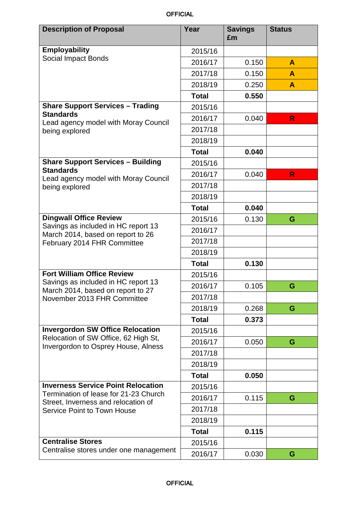| <b>Description of Proposal</b>                                                                                     | Year         | <b>Savings</b><br>£m | <b>Status</b>    |
|--------------------------------------------------------------------------------------------------------------------|--------------|----------------------|------------------|
| <b>Employability</b>                                                                                               | 2015/16      |                      |                  |
| <b>Social Impact Bonds</b>                                                                                         | 2016/17      | 0.150                | A                |
|                                                                                                                    | 2017/18      | 0.150                | A                |
|                                                                                                                    | 2018/19      | 0.250                | $\blacktriangle$ |
|                                                                                                                    | <b>Total</b> | 0.550                |                  |
| <b>Share Support Services - Trading</b>                                                                            | 2015/16      |                      |                  |
| <b>Standards</b><br>Lead agency model with Moray Council                                                           | 2016/17      | 0.040                | R                |
| being explored                                                                                                     | 2017/18      |                      |                  |
|                                                                                                                    | 2018/19      |                      |                  |
|                                                                                                                    | <b>Total</b> | 0.040                |                  |
| <b>Share Support Services - Building</b>                                                                           | 2015/16      |                      |                  |
| <b>Standards</b><br>Lead agency model with Moray Council                                                           | 2016/17      | 0.040                | R                |
| being explored                                                                                                     | 2017/18      |                      |                  |
|                                                                                                                    | 2018/19      |                      |                  |
|                                                                                                                    | <b>Total</b> | 0.040                |                  |
| <b>Dingwall Office Review</b>                                                                                      | 2015/16      | 0.130                | G                |
| Savings as included in HC report 13<br>March 2014, based on report to 26                                           | 2016/17      |                      |                  |
| February 2014 FHR Committee                                                                                        | 2017/18      |                      |                  |
|                                                                                                                    | 2018/19      |                      |                  |
|                                                                                                                    | <b>Total</b> | 0.130                |                  |
| <b>Fort William Office Review</b>                                                                                  | 2015/16      |                      |                  |
| Savings as included in HC report 13<br>March 2014, based on report to 27                                           | 2016/17      | 0.105                | G                |
| November 2013 FHR Committee                                                                                        | 2017/18      |                      |                  |
|                                                                                                                    | 2018/19      | 0.268                | G                |
|                                                                                                                    | <b>Total</b> | 0.373                |                  |
| <b>Invergordon SW Office Relocation</b>                                                                            | 2015/16      |                      |                  |
| Relocation of SW Office, 62 High St,<br>Invergordon to Osprey House, Alness                                        | 2016/17      | 0.050                | G                |
|                                                                                                                    | 2017/18      |                      |                  |
|                                                                                                                    | 2018/19      |                      |                  |
|                                                                                                                    | <b>Total</b> | 0.050                |                  |
| <b>Inverness Service Point Relocation</b>                                                                          | 2015/16      |                      |                  |
| Termination of lease for 21-23 Church<br>Street, Inverness and relocation of<br><b>Service Point to Town House</b> | 2016/17      | 0.115                | G                |
|                                                                                                                    | 2017/18      |                      |                  |
|                                                                                                                    | 2018/19      |                      |                  |
|                                                                                                                    | <b>Total</b> | 0.115                |                  |
| <b>Centralise Stores</b>                                                                                           | 2015/16      |                      |                  |
| Centralise stores under one management                                                                             | 2016/17      | 0.030                | G                |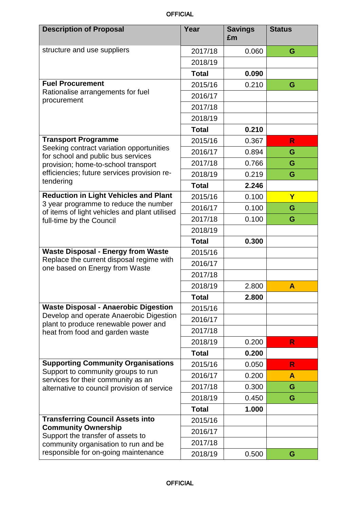| <b>Description of Proposal</b>                                                                                                                                                             | Year         | <b>Savings</b><br>£m | <b>Status</b> |
|--------------------------------------------------------------------------------------------------------------------------------------------------------------------------------------------|--------------|----------------------|---------------|
| structure and use suppliers                                                                                                                                                                | 2017/18      | 0.060                | G             |
|                                                                                                                                                                                            | 2018/19      |                      |               |
|                                                                                                                                                                                            | <b>Total</b> | 0.090                |               |
| <b>Fuel Procurement</b>                                                                                                                                                                    | 2015/16      | 0.210                | G             |
| Rationalise arrangements for fuel                                                                                                                                                          | 2016/17      |                      |               |
| procurement                                                                                                                                                                                | 2017/18      |                      |               |
|                                                                                                                                                                                            | 2018/19      |                      |               |
|                                                                                                                                                                                            | <b>Total</b> | 0.210                |               |
| <b>Transport Programme</b>                                                                                                                                                                 | 2015/16      | 0.367                | R             |
| Seeking contract variation opportunities                                                                                                                                                   | 2016/17      | 0.894                | G             |
| for school and public bus services<br>provision; home-to-school transport                                                                                                                  | 2017/18      | 0.766                | G             |
| efficiencies; future services provision re-                                                                                                                                                | 2018/19      | 0.219                | G             |
| tendering                                                                                                                                                                                  | <b>Total</b> | 2.246                |               |
| <b>Reduction in Light Vehicles and Plant</b>                                                                                                                                               | 2015/16      | 0.100                | $\mathbf Y$   |
| 3 year programme to reduce the number<br>of items of light vehicles and plant utilised                                                                                                     | 2016/17      | 0.100                | G             |
| full-time by the Council                                                                                                                                                                   | 2017/18      | 0.100                | G             |
|                                                                                                                                                                                            | 2018/19      |                      |               |
|                                                                                                                                                                                            | <b>Total</b> | 0.300                |               |
| <b>Waste Disposal - Energy from Waste</b>                                                                                                                                                  | 2015/16      |                      |               |
| Replace the current disposal regime with<br>one based on Energy from Waste                                                                                                                 | 2016/17      |                      |               |
|                                                                                                                                                                                            | 2017/18      |                      |               |
|                                                                                                                                                                                            | 2018/19      | 2.800                | A             |
|                                                                                                                                                                                            | <b>Total</b> | 2.800                |               |
| <b>Waste Disposal - Anaerobic Digestion</b>                                                                                                                                                | 2015/16      |                      |               |
| Develop and operate Anaerobic Digestion<br>plant to produce renewable power and<br>heat from food and garden waste                                                                         | 2016/17      |                      |               |
|                                                                                                                                                                                            | 2017/18      |                      |               |
|                                                                                                                                                                                            | 2018/19      | 0.200                | R.            |
|                                                                                                                                                                                            | <b>Total</b> | 0.200                |               |
| <b>Supporting Community Organisations</b>                                                                                                                                                  | 2015/16      | 0.050                | R             |
| Support to community groups to run<br>services for their community as an<br>alternative to council provision of service                                                                    | 2016/17      | 0.200                | A             |
|                                                                                                                                                                                            | 2017/18      | 0.300                | G             |
|                                                                                                                                                                                            | 2018/19      | 0.450                | G             |
|                                                                                                                                                                                            | <b>Total</b> | 1.000                |               |
| <b>Transferring Council Assets into</b><br><b>Community Ownership</b><br>Support the transfer of assets to<br>community organisation to run and be<br>responsible for on-going maintenance | 2015/16      |                      |               |
|                                                                                                                                                                                            | 2016/17      |                      |               |
|                                                                                                                                                                                            | 2017/18      |                      |               |
|                                                                                                                                                                                            | 2018/19      | 0.500                | G             |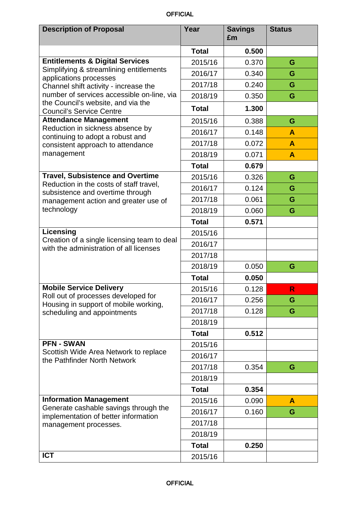| <b>Description of Proposal</b>                                                                                                                           | Year         | <b>Savings</b><br>£m | <b>Status</b>    |
|----------------------------------------------------------------------------------------------------------------------------------------------------------|--------------|----------------------|------------------|
|                                                                                                                                                          | <b>Total</b> | 0.500                |                  |
| <b>Entitlements &amp; Digital Services</b><br>Simplifying & streamlining entitlements<br>applications processes<br>Channel shift activity - increase the | 2015/16      | 0.370                | G                |
|                                                                                                                                                          | 2016/17      | 0.340                | G                |
|                                                                                                                                                          | 2017/18      | 0.240                | G                |
| number of services accessible on-line, via                                                                                                               | 2018/19      | 0.350                | G                |
| the Council's website, and via the<br><b>Council's Service Centre</b>                                                                                    | <b>Total</b> | 1.300                |                  |
| <b>Attendance Management</b>                                                                                                                             | 2015/16      | 0.388                | G                |
| Reduction in sickness absence by                                                                                                                         | 2016/17      | 0.148                | A                |
| continuing to adopt a robust and                                                                                                                         |              |                      |                  |
| consistent approach to attendance<br>management                                                                                                          | 2017/18      | 0.072                | A                |
|                                                                                                                                                          | 2018/19      | 0.071                | $\blacktriangle$ |
|                                                                                                                                                          | <b>Total</b> | 0.679                |                  |
| <b>Travel, Subsistence and Overtime</b><br>Reduction in the costs of staff travel,                                                                       | 2015/16      | 0.326                | G                |
| subsistence and overtime through                                                                                                                         | 2016/17      | 0.124                | G                |
| management action and greater use of                                                                                                                     | 2017/18      | 0.061                | G                |
| technology                                                                                                                                               | 2018/19      | 0.060                | G                |
|                                                                                                                                                          | <b>Total</b> | 0.571                |                  |
| Licensing                                                                                                                                                | 2015/16      |                      |                  |
| Creation of a single licensing team to deal<br>with the administration of all licenses                                                                   | 2016/17      |                      |                  |
|                                                                                                                                                          | 2017/18      |                      |                  |
|                                                                                                                                                          | 2018/19      | 0.050                | G                |
|                                                                                                                                                          | <b>Total</b> | 0.050                |                  |
| <b>Mobile Service Delivery</b>                                                                                                                           | 2015/16      | 0.128                | R                |
| Roll out of processes developed for                                                                                                                      | 2016/17      | 0.256                | G                |
| Housing in support of mobile working,<br>scheduling and appointments                                                                                     | 2017/18      | 0.128                | G                |
|                                                                                                                                                          | 2018/19      |                      |                  |
|                                                                                                                                                          | <b>Total</b> | 0.512                |                  |
| <b>PFN - SWAN</b>                                                                                                                                        | 2015/16      |                      |                  |
| Scottish Wide Area Network to replace<br>the Pathfinder North Network                                                                                    | 2016/17      |                      |                  |
|                                                                                                                                                          | 2017/18      | 0.354                | G                |
|                                                                                                                                                          | 2018/19      |                      |                  |
|                                                                                                                                                          | <b>Total</b> | 0.354                |                  |
| <b>Information Management</b><br>Generate cashable savings through the<br>implementation of better information<br>management processes.                  | 2015/16      | 0.090                | A                |
|                                                                                                                                                          | 2016/17      | 0.160                | G                |
|                                                                                                                                                          | 2017/18      |                      |                  |
|                                                                                                                                                          | 2018/19      |                      |                  |
|                                                                                                                                                          | <b>Total</b> | 0.250                |                  |
| <b>ICT</b>                                                                                                                                               | 2015/16      |                      |                  |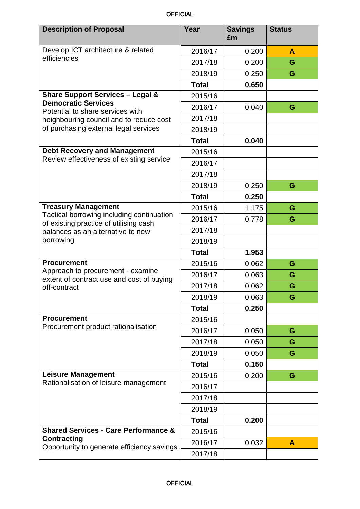| <b>Description of Proposal</b>                                                      | Year         | <b>Savings</b><br>£m | <b>Status</b> |
|-------------------------------------------------------------------------------------|--------------|----------------------|---------------|
| Develop ICT architecture & related<br>efficiencies                                  | 2016/17      | 0.200                | A             |
|                                                                                     | 2017/18      | 0.200                | G             |
|                                                                                     | 2018/19      | 0.250                | G             |
|                                                                                     | <b>Total</b> | 0.650                |               |
| <b>Share Support Services - Legal &amp;</b>                                         | 2015/16      |                      |               |
| <b>Democratic Services</b><br>Potential to share services with                      | 2016/17      | 0.040                | G             |
| neighbouring council and to reduce cost                                             | 2017/18      |                      |               |
| of purchasing external legal services                                               | 2018/19      |                      |               |
|                                                                                     | <b>Total</b> | 0.040                |               |
| <b>Debt Recovery and Management</b>                                                 | 2015/16      |                      |               |
| Review effectiveness of existing service                                            | 2016/17      |                      |               |
|                                                                                     | 2017/18      |                      |               |
|                                                                                     | 2018/19      | 0.250                | G             |
|                                                                                     | <b>Total</b> | 0.250                |               |
| <b>Treasury Management</b>                                                          | 2015/16      | 1.175                | G             |
| Tactical borrowing including continuation<br>of existing practice of utilising cash | 2016/17      | 0.778                | G             |
| balances as an alternative to new                                                   | 2017/18      |                      |               |
| borrowing                                                                           | 2018/19      |                      |               |
|                                                                                     | <b>Total</b> | 1.953                |               |
| <b>Procurement</b>                                                                  | 2015/16      | 0.062                | G             |
| Approach to procurement - examine<br>extent of contract use and cost of buying      | 2016/17      | 0.063                | G             |
| off-contract                                                                        | 2017/18      | 0.062                | G             |
|                                                                                     | 2018/19      | 0.063                | G             |
|                                                                                     | <b>Total</b> | 0.250                |               |
| <b>Procurement</b><br>Procurement product rationalisation                           | 2015/16      |                      |               |
|                                                                                     | 2016/17      | 0.050                | G             |
|                                                                                     | 2017/18      | 0.050                | G             |
|                                                                                     | 2018/19      | 0.050                | G             |
|                                                                                     | <b>Total</b> | 0.150                |               |
| <b>Leisure Management</b>                                                           | 2015/16      | 0.200                | G             |
| Rationalisation of leisure management                                               | 2016/17      |                      |               |
|                                                                                     | 2017/18      |                      |               |
|                                                                                     | 2018/19      |                      |               |
|                                                                                     | <b>Total</b> | 0.200                |               |
| <b>Shared Services - Care Performance &amp;</b>                                     | 2015/16      |                      |               |
| <b>Contracting</b><br>Opportunity to generate efficiency savings                    | 2016/17      | 0.032                | A             |
|                                                                                     | 2017/18      |                      |               |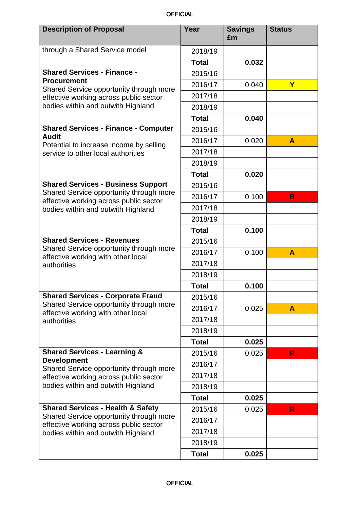| <b>Description of Proposal</b>                                                                                                                                                           | Year         | <b>Savings</b><br>£m | <b>Status</b> |
|------------------------------------------------------------------------------------------------------------------------------------------------------------------------------------------|--------------|----------------------|---------------|
| through a Shared Service model                                                                                                                                                           | 2018/19      |                      |               |
|                                                                                                                                                                                          | <b>Total</b> | 0.032                |               |
| <b>Shared Services - Finance -</b>                                                                                                                                                       | 2015/16      |                      |               |
| <b>Procurement</b>                                                                                                                                                                       | 2016/17      | 0.040                | Y             |
| Shared Service opportunity through more<br>effective working across public sector                                                                                                        | 2017/18      |                      |               |
| bodies within and outwith Highland                                                                                                                                                       | 2018/19      |                      |               |
|                                                                                                                                                                                          | <b>Total</b> | 0.040                |               |
| <b>Shared Services - Finance - Computer</b>                                                                                                                                              | 2015/16      |                      |               |
| Audit                                                                                                                                                                                    | 2016/17      | 0.020                | A             |
| Potential to increase income by selling<br>service to other local authorities                                                                                                            | 2017/18      |                      |               |
|                                                                                                                                                                                          | 2018/19      |                      |               |
|                                                                                                                                                                                          | <b>Total</b> | 0.020                |               |
| <b>Shared Services - Business Support</b>                                                                                                                                                | 2015/16      |                      |               |
| Shared Service opportunity through more<br>effective working across public sector                                                                                                        | 2016/17      | 0.100                | R             |
| bodies within and outwith Highland                                                                                                                                                       | 2017/18      |                      |               |
|                                                                                                                                                                                          | 2018/19      |                      |               |
|                                                                                                                                                                                          | <b>Total</b> | 0.100                |               |
| <b>Shared Services - Revenues</b>                                                                                                                                                        | 2015/16      |                      |               |
| Shared Service opportunity through more<br>effective working with other local<br>authorities                                                                                             | 2016/17      | 0.100                | A             |
|                                                                                                                                                                                          | 2017/18      |                      |               |
|                                                                                                                                                                                          | 2018/19      |                      |               |
|                                                                                                                                                                                          | <b>Total</b> | 0.100                |               |
| <b>Shared Services - Corporate Fraud</b>                                                                                                                                                 | 2015/16      |                      |               |
| Shared Service opportunity through more<br>effective working with other local<br>authorities                                                                                             | 2016/17      | 0.025                | A             |
|                                                                                                                                                                                          | 2017/18      |                      |               |
|                                                                                                                                                                                          | 2018/19      |                      |               |
|                                                                                                                                                                                          | <b>Total</b> | 0.025                |               |
| <b>Shared Services - Learning &amp;</b><br><b>Development</b><br>Shared Service opportunity through more<br>effective working across public sector<br>bodies within and outwith Highland | 2015/16      | 0.025                | $\mathsf{R}$  |
|                                                                                                                                                                                          | 2016/17      |                      |               |
|                                                                                                                                                                                          | 2017/18      |                      |               |
|                                                                                                                                                                                          | 2018/19      |                      |               |
|                                                                                                                                                                                          | <b>Total</b> | 0.025                |               |
| <b>Shared Services - Health &amp; Safety</b><br>Shared Service opportunity through more<br>effective working across public sector<br>bodies within and outwith Highland                  | 2015/16      | 0.025                | $\mathsf{R}$  |
|                                                                                                                                                                                          | 2016/17      |                      |               |
|                                                                                                                                                                                          | 2017/18      |                      |               |
|                                                                                                                                                                                          | 2018/19      |                      |               |
|                                                                                                                                                                                          | <b>Total</b> | 0.025                |               |